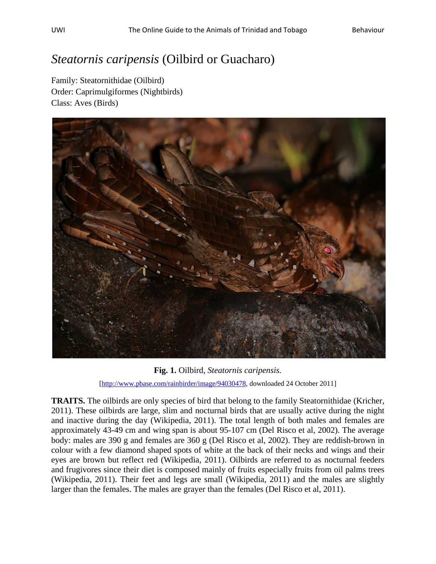## *Steatornis caripensis* (Oilbird or Guacharo)

Family: Steatornithidae (Oilbird) Order: Caprimulgiformes (Nightbirds) Class: Aves (Birds)



**Fig. 1.** Oilbird, *Steatornis caripensis.*  [[http://www.pbase.com/rainbirder/image/94030478,](http://www.pbase.com/rainbirder/image/94030478) downloaded 24 October 2011]

**TRAITS.** The oilbirds are only species of bird that belong to the family Steatornithidae (Kricher, 2011). These oilbirds are large, slim and nocturnal birds that are usually active during the night and inactive during the day (Wikipedia, 2011). The total length of both males and females are approximately 43-49 cm and wing span is about 95-107 cm (Del Risco et al, 2002). The average body: males are 390 g and females are 360 g (Del Risco et al, 2002). They are reddish-brown in colour with a few diamond shaped spots of white at the back of their necks and wings and their eyes are brown but reflect red (Wikipedia, 2011). Oilbirds are referred to as nocturnal feeders and frugivores since their diet is composed mainly of fruits especially fruits from oil palms trees (Wikipedia, 2011). Their feet and legs are small (Wikipedia, 2011) and the males are slightly larger than the females. The males are grayer than the females (Del Risco et al, 2011).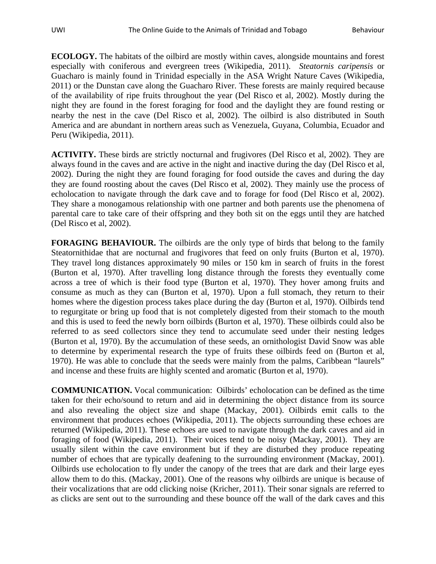**ECOLOGY.** The habitats of the oilbird are mostly within caves, alongside mountains and forest especially with coniferous and evergreen trees (Wikipedia, 2011). *Steatornis caripensis* or Guacharo is mainly found in Trinidad especially in the ASA Wright Nature Caves (Wikipedia, 2011) or the Dunstan cave along the Guacharo River. These forests are mainly required because of the availability of ripe fruits throughout the year (Del Risco et al, 2002). Mostly during the night they are found in the forest foraging for food and the daylight they are found resting or nearby the nest in the cave (Del Risco et al, 2002). The oilbird is also distributed in South America and are abundant in northern areas such as Venezuela, Guyana, Columbia, Ecuador and Peru (Wikipedia, 2011).

**ACTIVITY.** These birds are strictly nocturnal and frugivores (Del Risco et al, 2002). They are always found in the caves and are active in the night and inactive during the day (Del Risco et al, 2002). During the night they are found foraging for food outside the caves and during the day they are found roosting about the caves (Del Risco et al, 2002). They mainly use the process of echolocation to navigate through the dark cave and to forage for food (Del Risco et al, 2002). They share a monogamous relationship with one partner and both parents use the phenomena of parental care to take care of their offspring and they both sit on the eggs until they are hatched (Del Risco et al, 2002).

**FORAGING BEHAVIOUR.** The oilbirds are the only type of birds that belong to the family Steatornithidae that are nocturnal and frugivores that feed on only fruits (Burton et al, 1970). They travel long distances approximately 90 miles or 150 km in search of fruits in the forest (Burton et al, 1970). After travelling long distance through the forests they eventually come across a tree of which is their food type (Burton et al, 1970). They hover among fruits and consume as much as they can (Burton et al, 1970). Upon a full stomach, they return to their homes where the digestion process takes place during the day (Burton et al, 1970). Oilbirds tend to regurgitate or bring up food that is not completely digested from their stomach to the mouth and this is used to feed the newly born oilbirds (Burton et al, 1970). These oilbirds could also be referred to as seed collectors since they tend to accumulate seed under their nesting ledges (Burton et al, 1970). By the accumulation of these seeds, an ornithologist David Snow was able to determine by experimental research the type of fruits these oilbirds feed on (Burton et al, 1970). He was able to conclude that the seeds were mainly from the palms, Caribbean "laurels" and incense and these fruits are highly scented and aromatic (Burton et al, 1970).

**COMMUNICATION.** Vocal communication: Oilbirds' echolocation can be defined as the time taken for their echo/sound to return and aid in determining the object distance from its source and also revealing the object size and shape (Mackay, 2001). Oilbirds emit calls to the environment that produces echoes (Wikipedia, 2011). The objects surrounding these echoes are returned (Wikipedia, 2011). These echoes are used to navigate through the dark caves and aid in foraging of food (Wikipedia, 2011). Their voices tend to be noisy (Mackay, 2001). They are usually silent within the cave environment but if they are disturbed they produce repeating number of echoes that are typically deafening to the surrounding environment (Mackay, 2001). Oilbirds use echolocation to fly under the canopy of the trees that are dark and their large eyes allow them to do this. (Mackay, 2001). One of the reasons why oilbirds are unique is because of their vocalizations that are odd clicking noise (Kricher, 2011). Their sonar signals are referred to as clicks are sent out to the surrounding and these bounce off the wall of the dark caves and this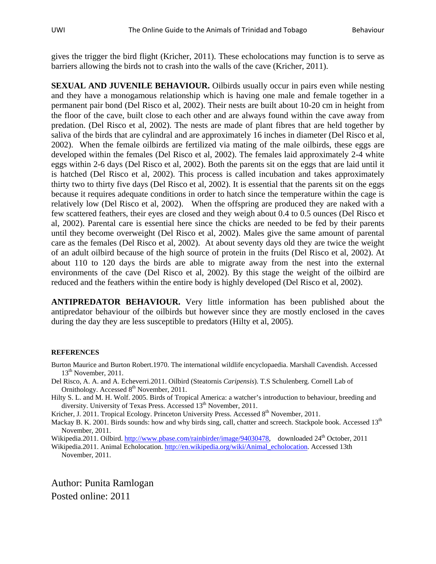gives the trigger the bird flight (Kricher, 2011). These echolocations may function is to serve as barriers allowing the birds not to crash into the walls of the cave (Kricher, 2011).

**SEXUAL AND JUVENILE BEHAVIOUR.** Oilbirds usually occur in pairs even while nesting and they have a monogamous relationship which is having one male and female together in a permanent pair bond (Del Risco et al, 2002). Their nests are built about 10-20 cm in height from the floor of the cave, built close to each other and are always found within the cave away from predation. (Del Risco et al, 2002). The nests are made of plant fibres that are held together by saliva of the birds that are cylindral and are approximately 16 inches in diameter (Del Risco et al, 2002). When the female oilbirds are fertilized via mating of the male oilbirds, these eggs are developed within the females (Del Risco et al, 2002). The females laid approximately 2-4 white eggs within 2-6 days (Del Risco et al, 2002). Both the parents sit on the eggs that are laid until it is hatched (Del Risco et al, 2002). This process is called incubation and takes approximately thirty two to thirty five days (Del Risco et al, 2002). It is essential that the parents sit on the eggs because it requires adequate conditions in order to hatch since the temperature within the cage is relatively low (Del Risco et al, 2002). When the offspring are produced they are naked with a few scattered feathers, their eyes are closed and they weigh about 0.4 to 0.5 ounces (Del Risco et al, 2002). Parental care is essential here since the chicks are needed to be fed by their parents until they become overweight (Del Risco et al, 2002). Males give the same amount of parental care as the females (Del Risco et al, 2002). At about seventy days old they are twice the weight of an adult oilbird because of the high source of protein in the fruits (Del Risco et al, 2002). At about 110 to 120 days the birds are able to migrate away from the nest into the external environments of the cave (Del Risco et al, 2002). By this stage the weight of the oilbird are reduced and the feathers within the entire body is highly developed (Del Risco et al, 2002).

**ANTIPREDATOR BEHAVIOUR.** Very little information has been published about the antipredator behaviour of the oilbirds but however since they are mostly enclosed in the caves during the day they are less susceptible to predators (Hilty et al, 2005).

## **REFERENCES**

- Burton Maurice and Burton Robert.1970. The international wildlife encyclopaedia. Marshall Cavendish. Accessed 13<sup>th</sup> November, 2011.
- Del Risco, A. A. and A. Echeverri.2011. Oilbird (Steatornis *Caripensis*). T.S Schulenberg. Cornell Lab of Ornithology. Accessed  $8<sup>th</sup>$  November, 2011.
- Hilty S. L. and M. H. Wolf. 2005. Birds of Tropical America: a watcher's introduction to behaviour, breeding and diversity. University of Texas Press. Accessed 13<sup>th</sup> November, 2011.
- Kricher, J. 2011. Tropical Ecology. Princeton University Press. Accessed 8<sup>th</sup> November, 2011.

Mackay B. K. 2001. Birds sounds: how and why birds sing, call, chatter and screech. Stackpole book. Accessed 13<sup>th</sup> November, 2011.

Wikipedia.2011. Oilbird. [http://www.pbase.com/rainbirder/image/94030478,](http://www.pbase.com/rainbirder/image/94030478) downloaded 24<sup>th</sup> October, 2011

Wikipedia.2011. Animal Echolocation. [http://en.wikipedia.org/wiki/Animal\\_echolocation.](http://en.wikipedia.org/wiki/Animal_echolocation) Accessed 13th November, 2011.

Author: Punita Ramlogan Posted online: 2011